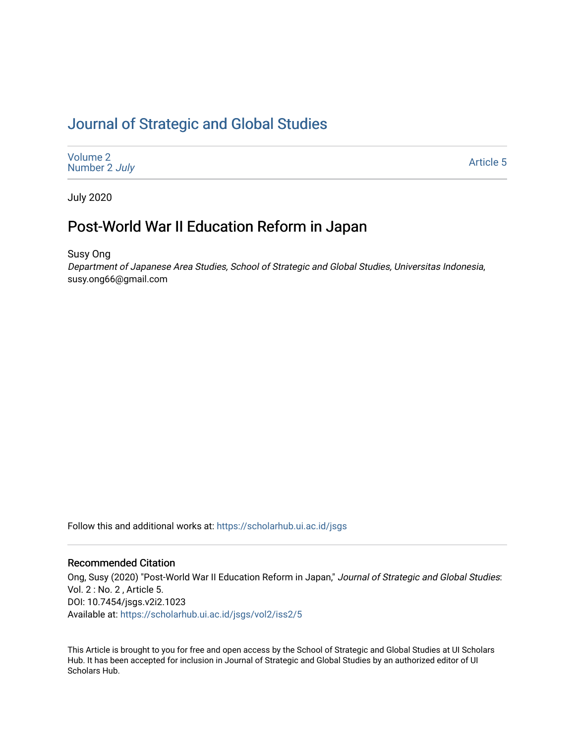# [Journal of Strategic and Global Studies](https://scholarhub.ui.ac.id/jsgs)

[Volume 2](https://scholarhub.ui.ac.id/jsgs/vol2) [Number 2](https://scholarhub.ui.ac.id/jsgs/vol2/iss2) July

[Article 5](https://scholarhub.ui.ac.id/jsgs/vol2/iss2/5) 

July 2020

## Post-World War II Education Reform in Japan

Susy Ong

Department of Japanese Area Studies, School of Strategic and Global Studies, Universitas Indonesia, susy.ong66@gmail.com

Follow this and additional works at: [https://scholarhub.ui.ac.id/jsgs](https://scholarhub.ui.ac.id/jsgs?utm_source=scholarhub.ui.ac.id%2Fjsgs%2Fvol2%2Fiss2%2F5&utm_medium=PDF&utm_campaign=PDFCoverPages) 

#### Recommended Citation

Ong, Susy (2020) "Post-World War II Education Reform in Japan," Journal of Strategic and Global Studies: Vol. 2 : No. 2 , Article 5. DOI: 10.7454/jsgs.v2i2.1023 Available at: [https://scholarhub.ui.ac.id/jsgs/vol2/iss2/5](https://scholarhub.ui.ac.id/jsgs/vol2/iss2/5?utm_source=scholarhub.ui.ac.id%2Fjsgs%2Fvol2%2Fiss2%2F5&utm_medium=PDF&utm_campaign=PDFCoverPages) 

This Article is brought to you for free and open access by the School of Strategic and Global Studies at UI Scholars Hub. It has been accepted for inclusion in Journal of Strategic and Global Studies by an authorized editor of UI Scholars Hub.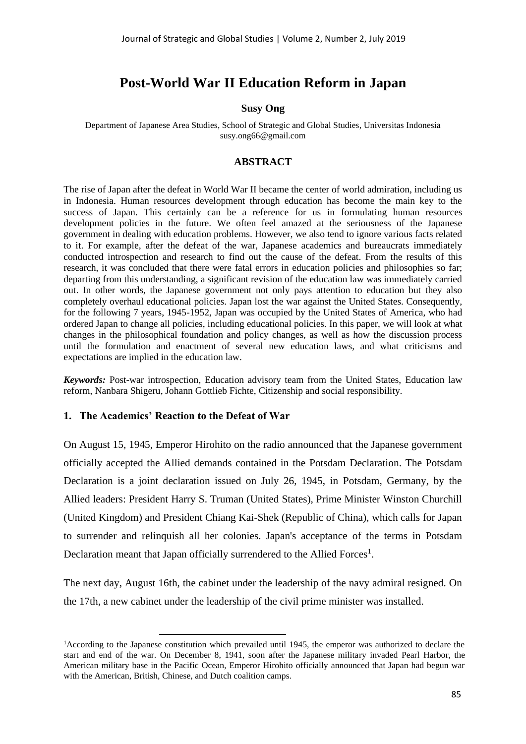## **Post-World War II Education Reform in Japan**

## **Susy Ong**

Department of Japanese Area Studies, School of Strategic and Global Studies, Universitas Indonesia susy.ong66@gmail.com

#### **ABSTRACT**

The rise of Japan after the defeat in World War II became the center of world admiration, including us in Indonesia. Human resources development through education has become the main key to the success of Japan. This certainly can be a reference for us in formulating human resources development policies in the future. We often feel amazed at the seriousness of the Japanese government in dealing with education problems. However, we also tend to ignore various facts related to it. For example, after the defeat of the war, Japanese academics and bureaucrats immediately conducted introspection and research to find out the cause of the defeat. From the results of this research, it was concluded that there were fatal errors in education policies and philosophies so far; departing from this understanding, a significant revision of the education law was immediately carried out. In other words, the Japanese government not only pays attention to education but they also completely overhaul educational policies. Japan lost the war against the United States. Consequently, for the following 7 years, 1945-1952, Japan was occupied by the United States of America, who had ordered Japan to change all policies, including educational policies. In this paper, we will look at what changes in the philosophical foundation and policy changes, as well as how the discussion process until the formulation and enactment of several new education laws, and what criticisms and expectations are implied in the education law.

*Keywords:* Post-war introspection, Education advisory team from the United States, Education law reform, Nanbara Shigeru, Johann Gottlieb Fichte, Citizenship and social responsibility.

### **1. The Academics' Reaction to the Defeat of War**

On August 15, 1945, Emperor Hirohito on the radio announced that the Japanese government officially accepted the Allied demands contained in the Potsdam Declaration. The Potsdam Declaration is a joint declaration issued on July 26, 1945, in Potsdam, Germany, by the Allied leaders: President Harry S. Truman (United States), Prime Minister Winston Churchill (United Kingdom) and President Chiang Kai-Shek (Republic of China), which calls for Japan to surrender and relinquish all her colonies. Japan's acceptance of the terms in Potsdam Declaration meant that Japan officially surrendered to the Allied Forces<sup>1</sup>.

The next day, August 16th, the cabinet under the leadership of the navy admiral resigned. On the 17th, a new cabinet under the leadership of the civil prime minister was installed.

<sup>1</sup>According to the Japanese constitution which prevailed until 1945, the emperor was authorized to declare the start and end of the war. On December 8, 1941, soon after the Japanese military invaded Pearl Harbor, the American military base in the Pacific Ocean, Emperor Hirohito officially announced that Japan had begun war with the American, British, Chinese, and Dutch coalition camps.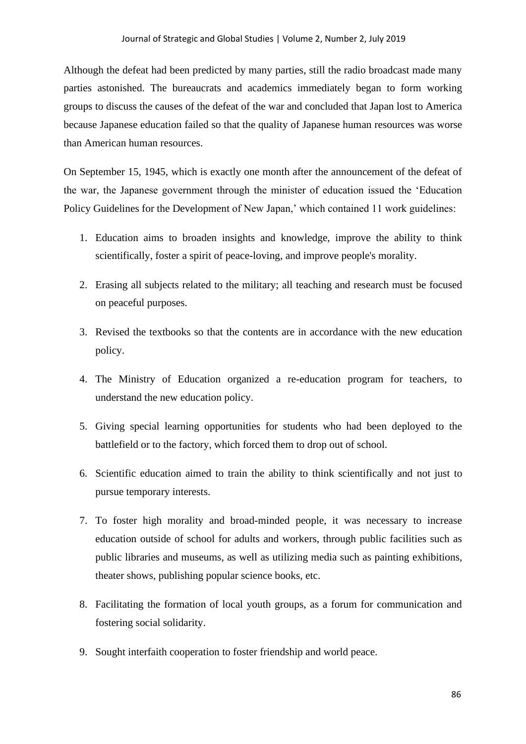Although the defeat had been predicted by many parties, still the radio broadcast made many parties astonished. The bureaucrats and academics immediately began to form working groups to discuss the causes of the defeat of the war and concluded that Japan lost to America because Japanese education failed so that the quality of Japanese human resources was worse than American human resources.

On September 15, 1945, which is exactly one month after the announcement of the defeat of the war, the Japanese government through the minister of education issued the 'Education Policy Guidelines for the Development of New Japan,' which contained 11 work guidelines:

- 1. Education aims to broaden insights and knowledge, improve the ability to think scientifically, foster a spirit of peace-loving, and improve people's morality.
- 2. Erasing all subjects related to the military; all teaching and research must be focused on peaceful purposes.
- 3. Revised the textbooks so that the contents are in accordance with the new education policy.
- 4. The Ministry of Education organized a re-education program for teachers, to understand the new education policy.
- 5. Giving special learning opportunities for students who had been deployed to the battlefield or to the factory, which forced them to drop out of school.
- 6. Scientific education aimed to train the ability to think scientifically and not just to pursue temporary interests.
- 7. To foster high morality and broad-minded people, it was necessary to increase education outside of school for adults and workers, through public facilities such as public libraries and museums, as well as utilizing media such as painting exhibitions, theater shows, publishing popular science books, etc.
- 8. Facilitating the formation of local youth groups, as a forum for communication and fostering social solidarity.
- 9. Sought interfaith cooperation to foster friendship and world peace.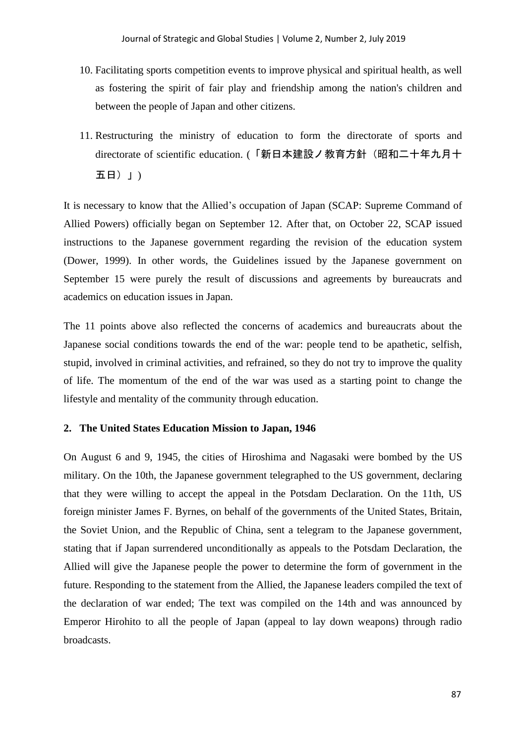- 10. Facilitating sports competition events to improve physical and spiritual health, as well as fostering the spirit of fair play and friendship among the nation's children and between the people of Japan and other citizens.
- 11. Restructuring the ministry of education to form the directorate of sports and directorate of scientific education. (「新日本建設ノ教育方針(昭和二十年九月十 五日)」)

It is necessary to know that the Allied's occupation of Japan (SCAP: Supreme Command of Allied Powers) officially began on September 12. After that, on October 22, SCAP issued instructions to the Japanese government regarding the revision of the education system (Dower, 1999). In other words, the Guidelines issued by the Japanese government on September 15 were purely the result of discussions and agreements by bureaucrats and academics on education issues in Japan.

The 11 points above also reflected the concerns of academics and bureaucrats about the Japanese social conditions towards the end of the war: people tend to be apathetic, selfish, stupid, involved in criminal activities, and refrained, so they do not try to improve the quality of life. The momentum of the end of the war was used as a starting point to change the lifestyle and mentality of the community through education.

#### **2. The United States Education Mission to Japan, 1946**

On August 6 and 9, 1945, the cities of Hiroshima and Nagasaki were bombed by the US military. On the 10th, the Japanese government telegraphed to the US government, declaring that they were willing to accept the appeal in the Potsdam Declaration. On the 11th, US foreign minister James F. Byrnes, on behalf of the governments of the United States, Britain, the Soviet Union, and the Republic of China, sent a telegram to the Japanese government, stating that if Japan surrendered unconditionally as appeals to the Potsdam Declaration, the Allied will give the Japanese people the power to determine the form of government in the future. Responding to the statement from the Allied, the Japanese leaders compiled the text of the declaration of war ended; The text was compiled on the 14th and was announced by Emperor Hirohito to all the people of Japan (appeal to lay down weapons) through radio broadcasts.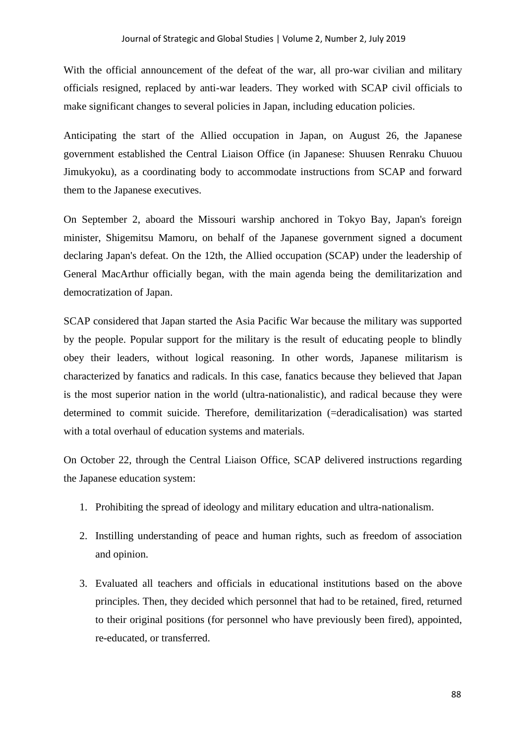With the official announcement of the defeat of the war, all pro-war civilian and military officials resigned, replaced by anti-war leaders. They worked with SCAP civil officials to make significant changes to several policies in Japan, including education policies.

Anticipating the start of the Allied occupation in Japan, on August 26, the Japanese government established the Central Liaison Office (in Japanese: Shuusen Renraku Chuuou Jimukyoku), as a coordinating body to accommodate instructions from SCAP and forward them to the Japanese executives.

On September 2, aboard the Missouri warship anchored in Tokyo Bay, Japan's foreign minister, Shigemitsu Mamoru, on behalf of the Japanese government signed a document declaring Japan's defeat. On the 12th, the Allied occupation (SCAP) under the leadership of General MacArthur officially began, with the main agenda being the demilitarization and democratization of Japan.

SCAP considered that Japan started the Asia Pacific War because the military was supported by the people. Popular support for the military is the result of educating people to blindly obey their leaders, without logical reasoning. In other words, Japanese militarism is characterized by fanatics and radicals. In this case, fanatics because they believed that Japan is the most superior nation in the world (ultra-nationalistic), and radical because they were determined to commit suicide. Therefore, demilitarization (=deradicalisation) was started with a total overhaul of education systems and materials.

On October 22, through the Central Liaison Office, SCAP delivered instructions regarding the Japanese education system:

- 1. Prohibiting the spread of ideology and military education and ultra-nationalism.
- 2. Instilling understanding of peace and human rights, such as freedom of association and opinion.
- 3. Evaluated all teachers and officials in educational institutions based on the above principles. Then, they decided which personnel that had to be retained, fired, returned to their original positions (for personnel who have previously been fired), appointed, re-educated, or transferred.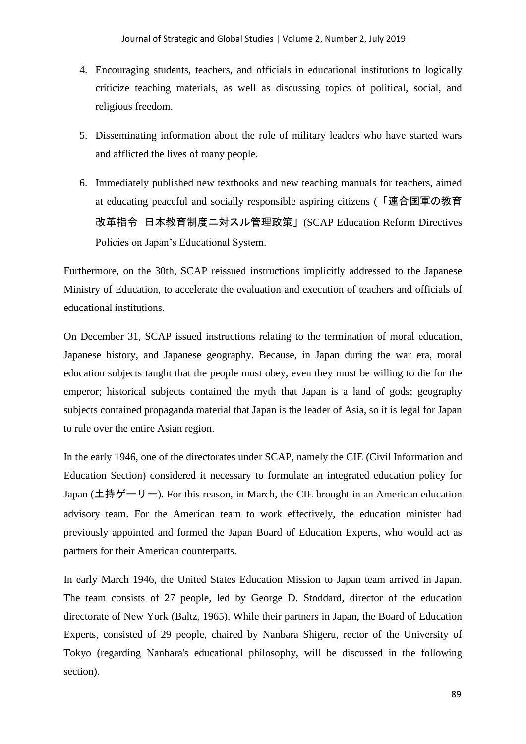- 4. Encouraging students, teachers, and officials in educational institutions to logically criticize teaching materials, as well as discussing topics of political, social, and religious freedom.
- 5. Disseminating information about the role of military leaders who have started wars and afflicted the lives of many people.
- 6. Immediately published new textbooks and new teaching manuals for teachers, aimed at educating peaceful and socially responsible aspiring citizens (「連合国軍の教育 改革指令 日本教育制度ニ対スル管理政策」(SCAP Education Reform Directives Policies on Japan's Educational System.

Furthermore, on the 30th, SCAP reissued instructions implicitly addressed to the Japanese Ministry of Education, to accelerate the evaluation and execution of teachers and officials of educational institutions.

On December 31, SCAP issued instructions relating to the termination of moral education, Japanese history, and Japanese geography. Because, in Japan during the war era, moral education subjects taught that the people must obey, even they must be willing to die for the emperor; historical subjects contained the myth that Japan is a land of gods; geography subjects contained propaganda material that Japan is the leader of Asia, so it is legal for Japan to rule over the entire Asian region.

In the early 1946, one of the directorates under SCAP, namely the CIE (Civil Information and Education Section) considered it necessary to formulate an integrated education policy for Japan (土持ゲーリー). For this reason, in March, the CIE brought in an American education advisory team. For the American team to work effectively, the education minister had previously appointed and formed the Japan Board of Education Experts, who would act as partners for their American counterparts.

In early March 1946, the United States Education Mission to Japan team arrived in Japan. The team consists of 27 people, led by George D. Stoddard, director of the education directorate of New York (Baltz, 1965). While their partners in Japan, the Board of Education Experts, consisted of 29 people, chaired by Nanbara Shigeru, rector of the University of Tokyo (regarding Nanbara's educational philosophy, will be discussed in the following section).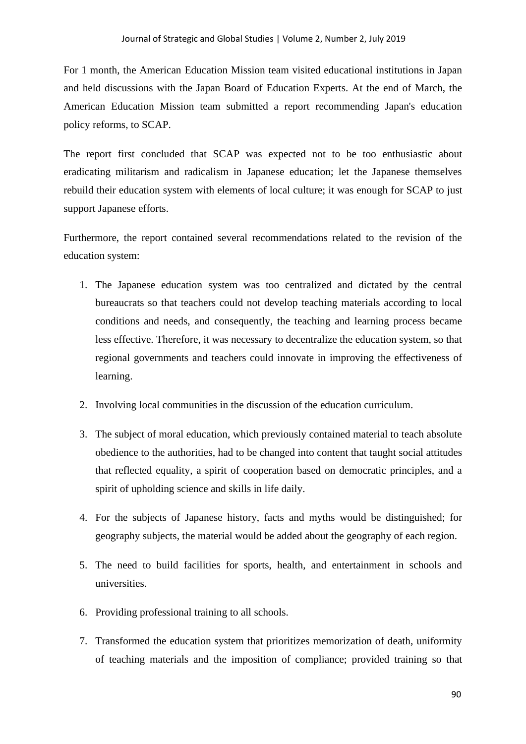For 1 month, the American Education Mission team visited educational institutions in Japan and held discussions with the Japan Board of Education Experts. At the end of March, the American Education Mission team submitted a report recommending Japan's education policy reforms, to SCAP.

The report first concluded that SCAP was expected not to be too enthusiastic about eradicating militarism and radicalism in Japanese education; let the Japanese themselves rebuild their education system with elements of local culture; it was enough for SCAP to just support Japanese efforts.

Furthermore, the report contained several recommendations related to the revision of the education system:

- 1. The Japanese education system was too centralized and dictated by the central bureaucrats so that teachers could not develop teaching materials according to local conditions and needs, and consequently, the teaching and learning process became less effective. Therefore, it was necessary to decentralize the education system, so that regional governments and teachers could innovate in improving the effectiveness of learning.
- 2. Involving local communities in the discussion of the education curriculum.
- 3. The subject of moral education, which previously contained material to teach absolute obedience to the authorities, had to be changed into content that taught social attitudes that reflected equality, a spirit of cooperation based on democratic principles, and a spirit of upholding science and skills in life daily.
- 4. For the subjects of Japanese history, facts and myths would be distinguished; for geography subjects, the material would be added about the geography of each region.
- 5. The need to build facilities for sports, health, and entertainment in schools and universities.
- 6. Providing professional training to all schools.
- 7. Transformed the education system that prioritizes memorization of death, uniformity of teaching materials and the imposition of compliance; provided training so that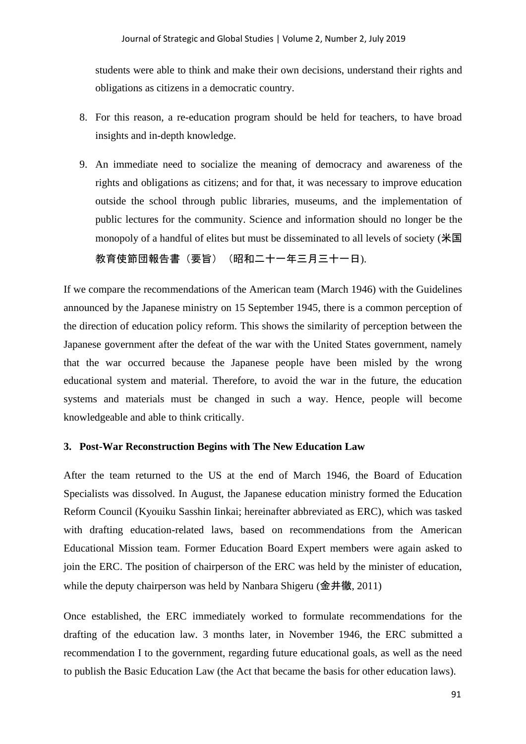students were able to think and make their own decisions, understand their rights and obligations as citizens in a democratic country.

- 8. For this reason, a re-education program should be held for teachers, to have broad insights and in-depth knowledge.
- 9. An immediate need to socialize the meaning of democracy and awareness of the rights and obligations as citizens; and for that, it was necessary to improve education outside the school through public libraries, museums, and the implementation of public lectures for the community. Science and information should no longer be the monopoly of a handful of elites but must be disseminated to all levels of society (米国 教育使節団報告書(要旨) (昭和二十一年三月三十一日).

If we compare the recommendations of the American team (March 1946) with the Guidelines announced by the Japanese ministry on 15 September 1945, there is a common perception of the direction of education policy reform. This shows the similarity of perception between the Japanese government after the defeat of the war with the United States government, namely that the war occurred because the Japanese people have been misled by the wrong educational system and material. Therefore, to avoid the war in the future, the education systems and materials must be changed in such a way. Hence, people will become knowledgeable and able to think critically.

#### **3. Post-War Reconstruction Begins with The New Education Law**

After the team returned to the US at the end of March 1946, the Board of Education Specialists was dissolved. In August, the Japanese education ministry formed the Education Reform Council (Kyouiku Sasshin Iinkai; hereinafter abbreviated as ERC), which was tasked with drafting education-related laws, based on recommendations from the American Educational Mission team. Former Education Board Expert members were again asked to join the ERC. The position of chairperson of the ERC was held by the minister of education, while the deputy chairperson was held by Nanbara Shigeru (金井徹, 2011)

Once established, the ERC immediately worked to formulate recommendations for the drafting of the education law. 3 months later, in November 1946, the ERC submitted a recommendation I to the government, regarding future educational goals, as well as the need to publish the Basic Education Law (the Act that became the basis for other education laws).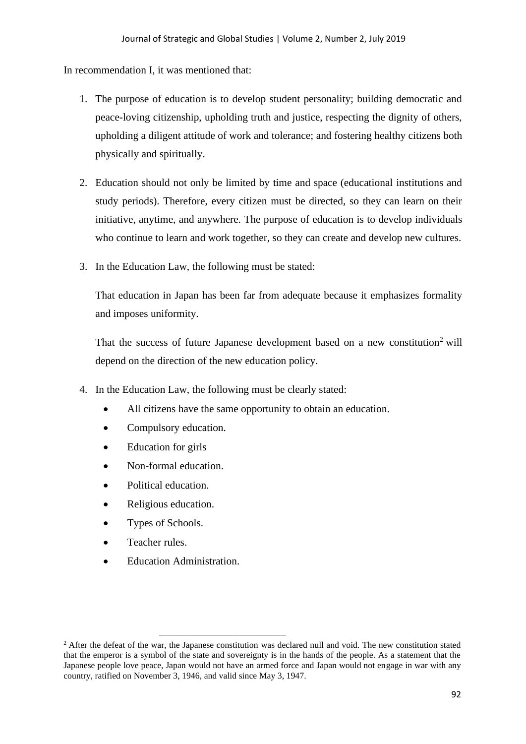In recommendation I, it was mentioned that:

- 1. The purpose of education is to develop student personality; building democratic and peace-loving citizenship, upholding truth and justice, respecting the dignity of others, upholding a diligent attitude of work and tolerance; and fostering healthy citizens both physically and spiritually.
- 2. Education should not only be limited by time and space (educational institutions and study periods). Therefore, every citizen must be directed, so they can learn on their initiative, anytime, and anywhere. The purpose of education is to develop individuals who continue to learn and work together, so they can create and develop new cultures.
- 3. In the Education Law, the following must be stated:

That education in Japan has been far from adequate because it emphasizes formality and imposes uniformity.

That the success of future Japanese development based on a new constitution<sup>2</sup> will depend on the direction of the new education policy.

- 4. In the Education Law, the following must be clearly stated:
	- All citizens have the same opportunity to obtain an education.
	- Compulsory education.
	- Education for girls
	- Non-formal education.
	- Political education.
	- Religious education.
	- Types of Schools.
	- Teacher rules.
	- Education Administration.

<sup>&</sup>lt;sup>2</sup> After the defeat of the war, the Japanese constitution was declared null and void. The new constitution stated that the emperor is a symbol of the state and sovereignty is in the hands of the people. As a statement that the Japanese people love peace, Japan would not have an armed force and Japan would not engage in war with any country, ratified on November 3, 1946, and valid since May 3, 1947.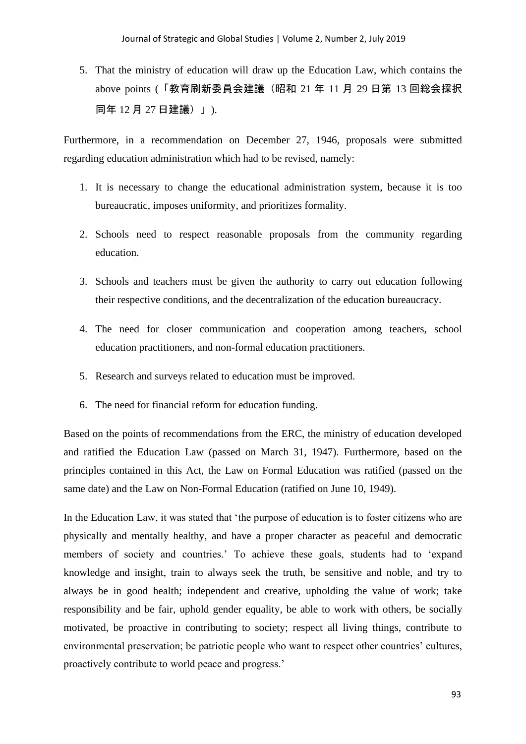5. That the ministry of education will draw up the Education Law, which contains the above points (「教育刷新委員会建議(昭和 21 年 11 月 29 日第 13 回総会採択 同年 12 月 27 日建議)」).

Furthermore, in a recommendation on December 27, 1946, proposals were submitted regarding education administration which had to be revised, namely:

- 1. It is necessary to change the educational administration system, because it is too bureaucratic, imposes uniformity, and prioritizes formality.
- 2. Schools need to respect reasonable proposals from the community regarding education.
- 3. Schools and teachers must be given the authority to carry out education following their respective conditions, and the decentralization of the education bureaucracy.
- 4. The need for closer communication and cooperation among teachers, school education practitioners, and non-formal education practitioners.
- 5. Research and surveys related to education must be improved.
- 6. The need for financial reform for education funding.

Based on the points of recommendations from the ERC, the ministry of education developed and ratified the Education Law (passed on March 31, 1947). Furthermore, based on the principles contained in this Act, the Law on Formal Education was ratified (passed on the same date) and the Law on Non-Formal Education (ratified on June 10, 1949).

In the Education Law, it was stated that 'the purpose of education is to foster citizens who are physically and mentally healthy, and have a proper character as peaceful and democratic members of society and countries.' To achieve these goals, students had to 'expand knowledge and insight, train to always seek the truth, be sensitive and noble, and try to always be in good health; independent and creative, upholding the value of work; take responsibility and be fair, uphold gender equality, be able to work with others, be socially motivated, be proactive in contributing to society; respect all living things, contribute to environmental preservation; be patriotic people who want to respect other countries' cultures, proactively contribute to world peace and progress.'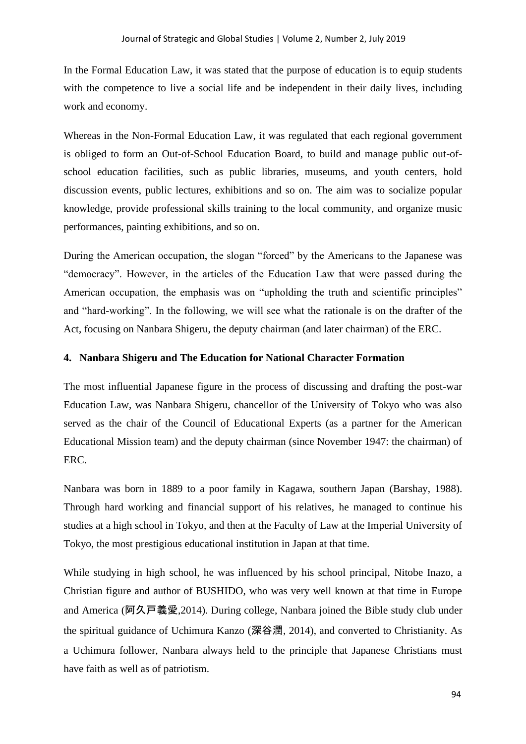In the Formal Education Law, it was stated that the purpose of education is to equip students with the competence to live a social life and be independent in their daily lives, including work and economy.

Whereas in the Non-Formal Education Law, it was regulated that each regional government is obliged to form an Out-of-School Education Board, to build and manage public out-ofschool education facilities, such as public libraries, museums, and youth centers, hold discussion events, public lectures, exhibitions and so on. The aim was to socialize popular knowledge, provide professional skills training to the local community, and organize music performances, painting exhibitions, and so on.

During the American occupation, the slogan "forced" by the Americans to the Japanese was "democracy". However, in the articles of the Education Law that were passed during the American occupation, the emphasis was on "upholding the truth and scientific principles" and "hard-working". In the following, we will see what the rationale is on the drafter of the Act, focusing on Nanbara Shigeru, the deputy chairman (and later chairman) of the ERC.

### **4. Nanbara Shigeru and The Education for National Character Formation**

The most influential Japanese figure in the process of discussing and drafting the post-war Education Law, was Nanbara Shigeru, chancellor of the University of Tokyo who was also served as the chair of the Council of Educational Experts (as a partner for the American Educational Mission team) and the deputy chairman (since November 1947: the chairman) of ERC.

Nanbara was born in 1889 to a poor family in Kagawa, southern Japan (Barshay, 1988). Through hard working and financial support of his relatives, he managed to continue his studies at a high school in Tokyo, and then at the Faculty of Law at the Imperial University of Tokyo, the most prestigious educational institution in Japan at that time.

While studying in high school, he was influenced by his school principal, Nitobe Inazo, a Christian figure and author of BUSHIDO, who was very well known at that time in Europe and America (阿久戸義愛,2014). During college, Nanbara joined the Bible study club under the spiritual guidance of Uchimura Kanzo (深谷潤, 2014), and converted to Christianity. As a Uchimura follower, Nanbara always held to the principle that Japanese Christians must have faith as well as of patriotism.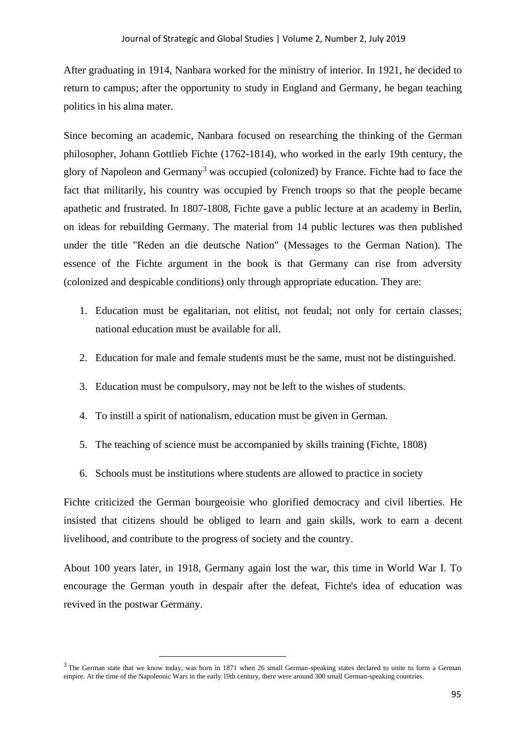After graduating in 1914, Nanbara worked for the ministry of interior. In 1921, he decided to return to campus; after the opportunity to study in England and Germany, he began teaching politics in his alma mater.

Since becoming an academic, Nanbara focused on researching the thinking of the German philosopher, Johann Gottlieb Fichte (1762-1814), who worked in the early 19th century, the glory of Napoleon and Germany<sup>3</sup> was occupied (colonized) by France. Fichte had to face the fact that militarily, his country was occupied by French troops so that the people became apathetic and frustrated. In 1807-1808, Fichte gave a public lecture at an academy in Berlin, on ideas for rebuilding Germany. The material from 14 public lectures was then published under the title "Reden an die deutsche Nation" (Messages to the German Nation). The essence of the Fichte argument in the book is that Germany can rise from adversity (colonized and despicable conditions) only through appropriate education. They are:

- 1. Education must be egalitarian, not elitist, not feudal; not only for certain classes; national education must be available for all.
- 2. Education for male and female students must be the same, must not be distinguished.
- 3. Education must be compulsory, may not be left to the wishes of students.
- 4. To instill a spirit of nationalism, education must be given in German.
- 5. The teaching of science must be accompanied by skills training (Fichte, 1808)
- 6. Schools must be institutions where students are allowed to practice in society

Fichte criticized the German bourgeoisie who glorified democracy and civil liberties. He insisted that citizens should be obliged to learn and gain skills, work to earn a decent livelihood, and contribute to the progress of society and the country.

About 100 years later, in 1918, Germany again lost the war, this time in World War I. To encourage the German youth in despair after the defeat, Fichte's idea of education was revived in the postwar Germany.

 $3$  The German state that we know today, was born in 1871 when 26 small German-speaking states declared to unite to form a German empire. At the time of the Napoleonic Wars in the early 19th century, there were around 300 small German-speaking countries.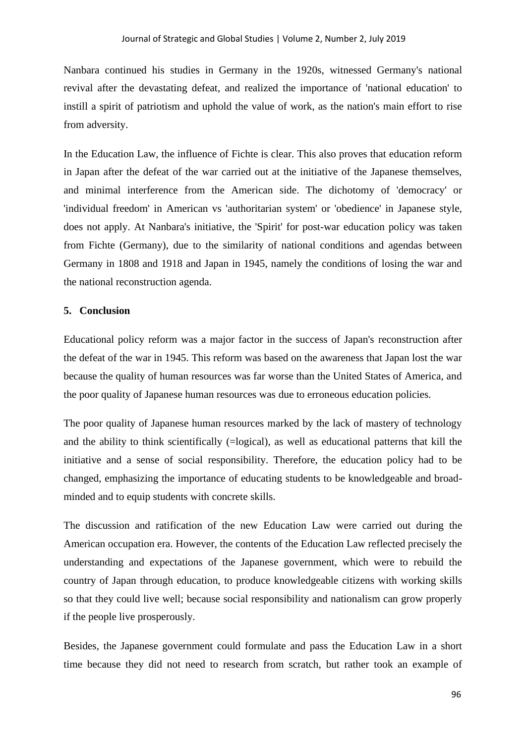Nanbara continued his studies in Germany in the 1920s, witnessed Germany's national revival after the devastating defeat, and realized the importance of 'national education' to instill a spirit of patriotism and uphold the value of work, as the nation's main effort to rise from adversity.

In the Education Law, the influence of Fichte is clear. This also proves that education reform in Japan after the defeat of the war carried out at the initiative of the Japanese themselves, and minimal interference from the American side. The dichotomy of 'democracy' or 'individual freedom' in American vs 'authoritarian system' or 'obedience' in Japanese style, does not apply. At Nanbara's initiative, the 'Spirit' for post-war education policy was taken from Fichte (Germany), due to the similarity of national conditions and agendas between Germany in 1808 and 1918 and Japan in 1945, namely the conditions of losing the war and the national reconstruction agenda.

## **5. Conclusion**

Educational policy reform was a major factor in the success of Japan's reconstruction after the defeat of the war in 1945. This reform was based on the awareness that Japan lost the war because the quality of human resources was far worse than the United States of America, and the poor quality of Japanese human resources was due to erroneous education policies.

The poor quality of Japanese human resources marked by the lack of mastery of technology and the ability to think scientifically (=logical), as well as educational patterns that kill the initiative and a sense of social responsibility. Therefore, the education policy had to be changed, emphasizing the importance of educating students to be knowledgeable and broadminded and to equip students with concrete skills.

The discussion and ratification of the new Education Law were carried out during the American occupation era. However, the contents of the Education Law reflected precisely the understanding and expectations of the Japanese government, which were to rebuild the country of Japan through education, to produce knowledgeable citizens with working skills so that they could live well; because social responsibility and nationalism can grow properly if the people live prosperously.

Besides, the Japanese government could formulate and pass the Education Law in a short time because they did not need to research from scratch, but rather took an example of